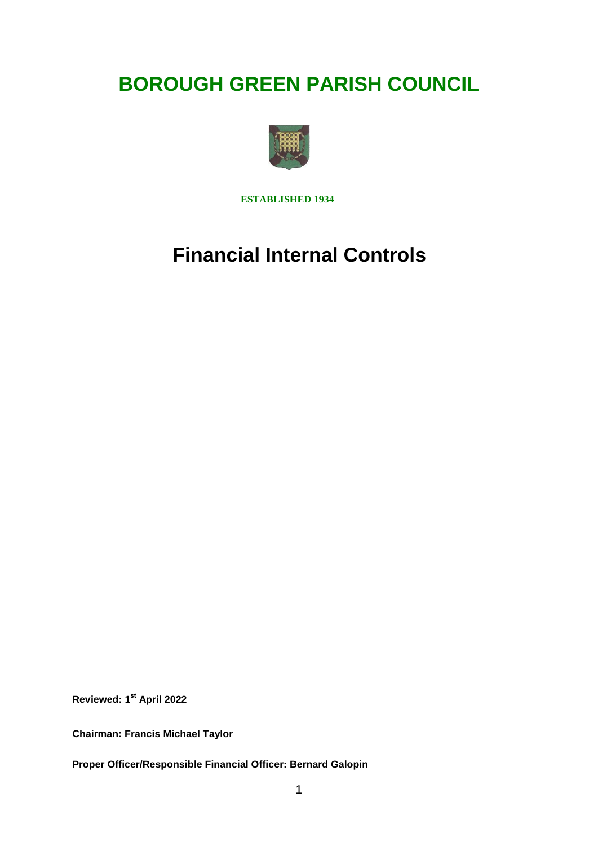## **BOROUGH GREEN PARISH COUNCIL**



**ESTABLISHED 1934**

# **Financial Internal Controls**

**Reviewed: 1st April 2022**

**Chairman: Francis Michael Taylor**

**Proper Officer/Responsible Financial Officer: Bernard Galopin**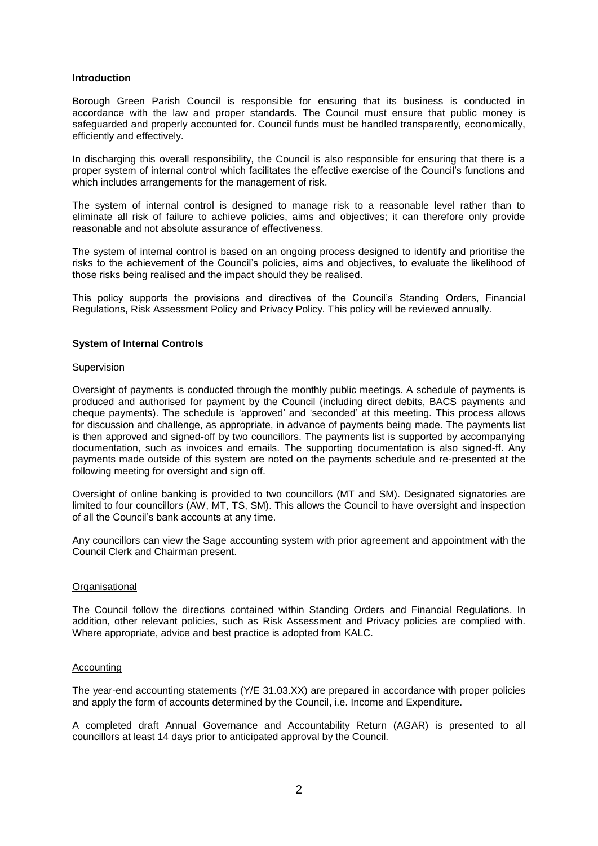## **Introduction**

Borough Green Parish Council is responsible for ensuring that its business is conducted in accordance with the law and proper standards. The Council must ensure that public money is safeguarded and properly accounted for. Council funds must be handled transparently, economically, efficiently and effectively.

In discharging this overall responsibility, the Council is also responsible for ensuring that there is a proper system of internal control which facilitates the effective exercise of the Council's functions and which includes arrangements for the management of risk.

The system of internal control is designed to manage risk to a reasonable level rather than to eliminate all risk of failure to achieve policies, aims and objectives; it can therefore only provide reasonable and not absolute assurance of effectiveness.

The system of internal control is based on an ongoing process designed to identify and prioritise the risks to the achievement of the Council's policies, aims and objectives, to evaluate the likelihood of those risks being realised and the impact should they be realised.

This policy supports the provisions and directives of the Council's Standing Orders, Financial Regulations, Risk Assessment Policy and Privacy Policy. This policy will be reviewed annually.

## **System of Internal Controls**

#### **Supervision**

Oversight of payments is conducted through the monthly public meetings. A schedule of payments is produced and authorised for payment by the Council (including direct debits, BACS payments and cheque payments). The schedule is 'approved' and 'seconded' at this meeting. This process allows for discussion and challenge, as appropriate, in advance of payments being made. The payments list is then approved and signed-off by two councillors. The payments list is supported by accompanying documentation, such as invoices and emails. The supporting documentation is also signed-ff. Any payments made outside of this system are noted on the payments schedule and re-presented at the following meeting for oversight and sign off.

Oversight of online banking is provided to two councillors (MT and SM). Designated signatories are limited to four councillors (AW, MT, TS, SM). This allows the Council to have oversight and inspection of all the Council's bank accounts at any time.

Any councillors can view the Sage accounting system with prior agreement and appointment with the Council Clerk and Chairman present.

## **Organisational**

The Council follow the directions contained within Standing Orders and Financial Regulations. In addition, other relevant policies, such as Risk Assessment and Privacy policies are complied with. Where appropriate, advice and best practice is adopted from KALC.

## Accounting

The year-end accounting statements (Y/E 31.03.XX) are prepared in accordance with proper policies and apply the form of accounts determined by the Council, i.e. Income and Expenditure.

A completed draft Annual Governance and Accountability Return (AGAR) is presented to all councillors at least 14 days prior to anticipated approval by the Council.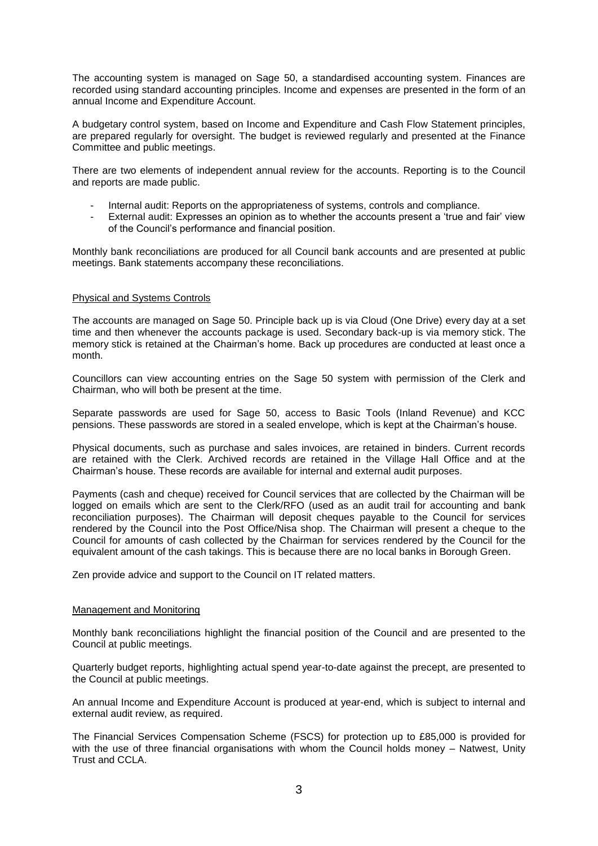The accounting system is managed on Sage 50, a standardised accounting system. Finances are recorded using standard accounting principles. Income and expenses are presented in the form of an annual Income and Expenditure Account.

A budgetary control system, based on Income and Expenditure and Cash Flow Statement principles, are prepared regularly for oversight. The budget is reviewed regularly and presented at the Finance Committee and public meetings.

There are two elements of independent annual review for the accounts. Reporting is to the Council and reports are made public.

- Internal audit: Reports on the appropriateness of systems, controls and compliance.
- External audit: Expresses an opinion as to whether the accounts present a 'true and fair' view of the Council's performance and financial position.

Monthly bank reconciliations are produced for all Council bank accounts and are presented at public meetings. Bank statements accompany these reconciliations.

## Physical and Systems Controls

The accounts are managed on Sage 50. Principle back up is via Cloud (One Drive) every day at a set time and then whenever the accounts package is used. Secondary back-up is via memory stick. The memory stick is retained at the Chairman's home. Back up procedures are conducted at least once a month.

Councillors can view accounting entries on the Sage 50 system with permission of the Clerk and Chairman, who will both be present at the time.

Separate passwords are used for Sage 50, access to Basic Tools (Inland Revenue) and KCC pensions. These passwords are stored in a sealed envelope, which is kept at the Chairman's house.

Physical documents, such as purchase and sales invoices, are retained in binders. Current records are retained with the Clerk. Archived records are retained in the Village Hall Office and at the Chairman's house. These records are available for internal and external audit purposes.

Payments (cash and cheque) received for Council services that are collected by the Chairman will be logged on emails which are sent to the Clerk/RFO (used as an audit trail for accounting and bank reconciliation purposes). The Chairman will deposit cheques payable to the Council for services rendered by the Council into the Post Office/Nisa shop. The Chairman will present a cheque to the Council for amounts of cash collected by the Chairman for services rendered by the Council for the equivalent amount of the cash takings. This is because there are no local banks in Borough Green.

Zen provide advice and support to the Council on IT related matters.

#### Management and Monitoring

Monthly bank reconciliations highlight the financial position of the Council and are presented to the Council at public meetings.

Quarterly budget reports, highlighting actual spend year-to-date against the precept, are presented to the Council at public meetings.

An annual Income and Expenditure Account is produced at year-end, which is subject to internal and external audit review, as required.

The Financial Services Compensation Scheme (FSCS) for protection up to £85,000 is provided for with the use of three financial organisations with whom the Council holds money – Natwest, Unity Trust and CCLA.